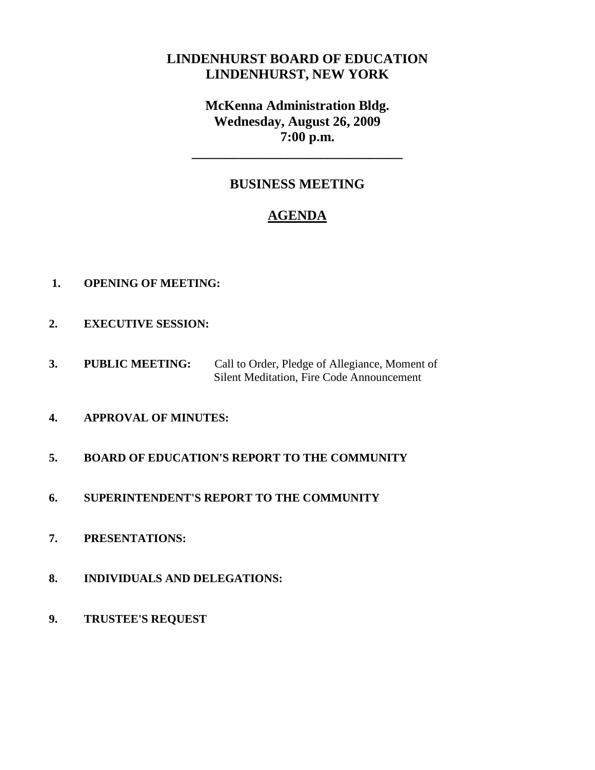# **LINDENHURST BOARD OF EDUCATION LINDENHURST, NEW YORK**

**McKenna Administration Bldg. Wednesday, August 26, 2009 7:00 p.m.**

# **BUSINESS MEETING**

**\_\_\_\_\_\_\_\_\_\_\_\_\_\_\_\_\_\_\_\_\_\_\_\_\_\_\_\_\_\_\_**

# **AGENDA**

- **1. OPENING OF MEETING:**
- **2. EXECUTIVE SESSION:**
- **3. PUBLIC MEETING:** Call to Order, Pledge of Allegiance, Moment of Silent Meditation, Fire Code Announcement
- **4. APPROVAL OF MINUTES:**
- **5. BOARD OF EDUCATION'S REPORT TO THE COMMUNITY**
- **6. SUPERINTENDENT'S REPORT TO THE COMMUNITY**
- **7. PRESENTATIONS:**
- **8. INDIVIDUALS AND DELEGATIONS:**
- **9. TRUSTEE'S REQUEST**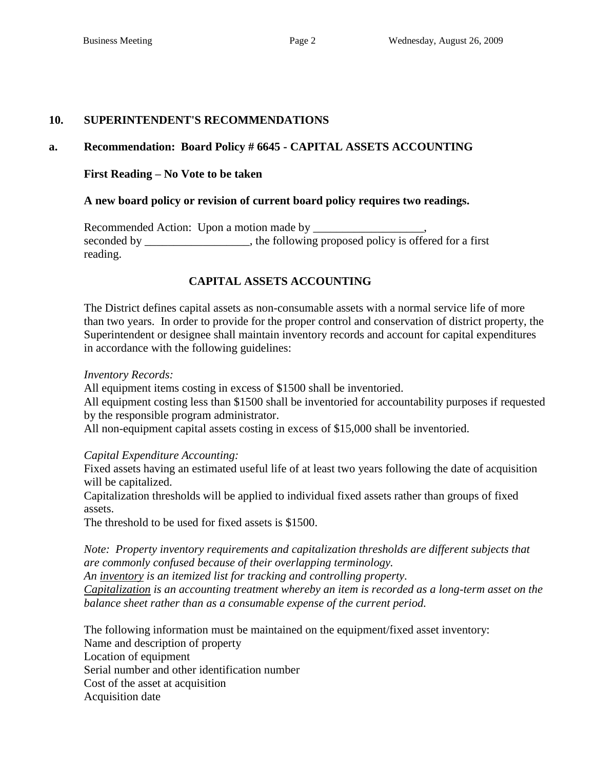#### **10. SUPERINTENDENT'S RECOMMENDATIONS**

#### **a. Recommendation: Board Policy # 6645 - CAPITAL ASSETS ACCOUNTING**

#### **First Reading – No Vote to be taken**

#### **A new board policy or revision of current board policy requires two readings.**

Recommended Action: Upon a motion made by \_\_\_\_\_\_\_\_\_\_\_\_\_\_\_\_\_\_\_, seconded by \_\_\_\_\_\_\_\_\_\_\_\_\_\_, the following proposed policy is offered for a first reading.

### **CAPITAL ASSETS ACCOUNTING**

The District defines capital assets as non-consumable assets with a normal service life of more than two years. In order to provide for the proper control and conservation of district property, the Superintendent or designee shall maintain inventory records and account for capital expenditures in accordance with the following guidelines:

#### *Inventory Records:*

All equipment items costing in excess of \$1500 shall be inventoried.

All equipment costing less than \$1500 shall be inventoried for accountability purposes if requested by the responsible program administrator.

All non-equipment capital assets costing in excess of \$15,000 shall be inventoried.

*Capital Expenditure Accounting:*

Fixed assets having an estimated useful life of at least two years following the date of acquisition will be capitalized.

Capitalization thresholds will be applied to individual fixed assets rather than groups of fixed assets.

The threshold to be used for fixed assets is \$1500.

*Note: Property inventory requirements and capitalization thresholds are different subjects that are commonly confused because of their overlapping terminology. An inventory is an itemized list for tracking and controlling property. Capitalization is an accounting treatment whereby an item is recorded as a long-term asset on the balance sheet rather than as a consumable expense of the current period.*

The following information must be maintained on the equipment/fixed asset inventory:

Name and description of property Location of equipment

Serial number and other identification number

Cost of the asset at acquisition

Acquisition date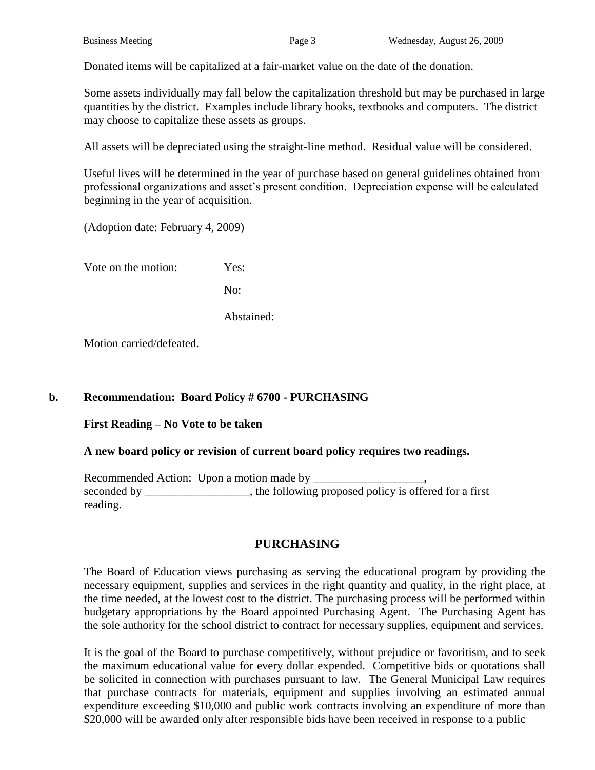Donated items will be capitalized at a fair-market value on the date of the donation.

Some assets individually may fall below the capitalization threshold but may be purchased in large quantities by the district. Examples include library books, textbooks and computers. The district may choose to capitalize these assets as groups.

All assets will be depreciated using the straight-line method. Residual value will be considered.

Useful lives will be determined in the year of purchase based on general guidelines obtained from professional organizations and asset's present condition. Depreciation expense will be calculated beginning in the year of acquisition.

(Adoption date: February 4, 2009)

Vote on the motion: Yes:

No:

Abstained:

Motion carried/defeated.

### **b. Recommendation: Board Policy # 6700 - PURCHASING**

**First Reading – No Vote to be taken**

### **A new board policy or revision of current board policy requires two readings.**

Recommended Action: Upon a motion made by \_\_\_\_\_\_\_\_\_\_\_\_\_\_\_\_\_\_\_, seconded by \_\_\_\_\_\_\_\_\_\_\_\_\_, the following proposed policy is offered for a first reading.

# **PURCHASING**

The Board of Education views purchasing as serving the educational program by providing the necessary equipment, supplies and services in the right quantity and quality, in the right place, at the time needed, at the lowest cost to the district. The purchasing process will be performed within budgetary appropriations by the Board appointed Purchasing Agent. The Purchasing Agent has the sole authority for the school district to contract for necessary supplies, equipment and services.

It is the goal of the Board to purchase competitively, without prejudice or favoritism, and to seek the maximum educational value for every dollar expended. Competitive bids or quotations shall be solicited in connection with purchases pursuant to law. The General Municipal Law requires that purchase contracts for materials, equipment and supplies involving an estimated annual expenditure exceeding \$10,000 and public work contracts involving an expenditure of more than \$20,000 will be awarded only after responsible bids have been received in response to a public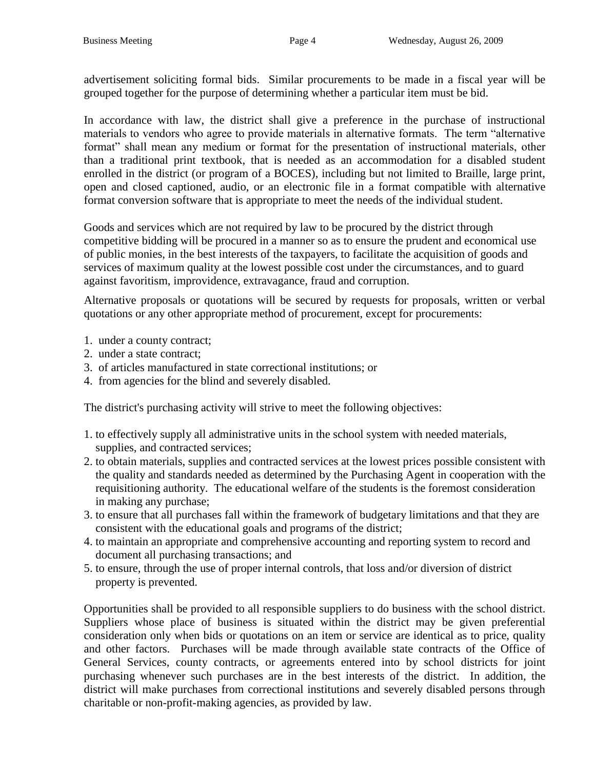advertisement soliciting formal bids. Similar procurements to be made in a fiscal year will be grouped together for the purpose of determining whether a particular item must be bid.

In accordance with law, the district shall give a preference in the purchase of instructional materials to vendors who agree to provide materials in alternative formats. The term "alternative format" shall mean any medium or format for the presentation of instructional materials, other than a traditional print textbook, that is needed as an accommodation for a disabled student enrolled in the district (or program of a BOCES), including but not limited to Braille, large print, open and closed captioned, audio, or an electronic file in a format compatible with alternative format conversion software that is appropriate to meet the needs of the individual student.

Goods and services which are not required by law to be procured by the district through competitive bidding will be procured in a manner so as to ensure the prudent and economical use of public monies, in the best interests of the taxpayers, to facilitate the acquisition of goods and services of maximum quality at the lowest possible cost under the circumstances, and to guard against favoritism, improvidence, extravagance, fraud and corruption.

Alternative proposals or quotations will be secured by requests for proposals, written or verbal quotations or any other appropriate method of procurement, except for procurements:

- 1. under a county contract;
- 2. under a state contract;
- 3. of articles manufactured in state correctional institutions; or
- 4. from agencies for the blind and severely disabled.

The district's purchasing activity will strive to meet the following objectives:

- 1. to effectively supply all administrative units in the school system with needed materials, supplies, and contracted services;
- 2. to obtain materials, supplies and contracted services at the lowest prices possible consistent with the quality and standards needed as determined by the Purchasing Agent in cooperation with the requisitioning authority. The educational welfare of the students is the foremost consideration in making any purchase;
- 3. to ensure that all purchases fall within the framework of budgetary limitations and that they are consistent with the educational goals and programs of the district;
- 4. to maintain an appropriate and comprehensive accounting and reporting system to record and document all purchasing transactions; and
- 5. to ensure, through the use of proper internal controls, that loss and/or diversion of district property is prevented.

Opportunities shall be provided to all responsible suppliers to do business with the school district. Suppliers whose place of business is situated within the district may be given preferential consideration only when bids or quotations on an item or service are identical as to price, quality and other factors. Purchases will be made through available state contracts of the Office of General Services, county contracts, or agreements entered into by school districts for joint purchasing whenever such purchases are in the best interests of the district. In addition, the district will make purchases from correctional institutions and severely disabled persons through charitable or non-profit-making agencies, as provided by law.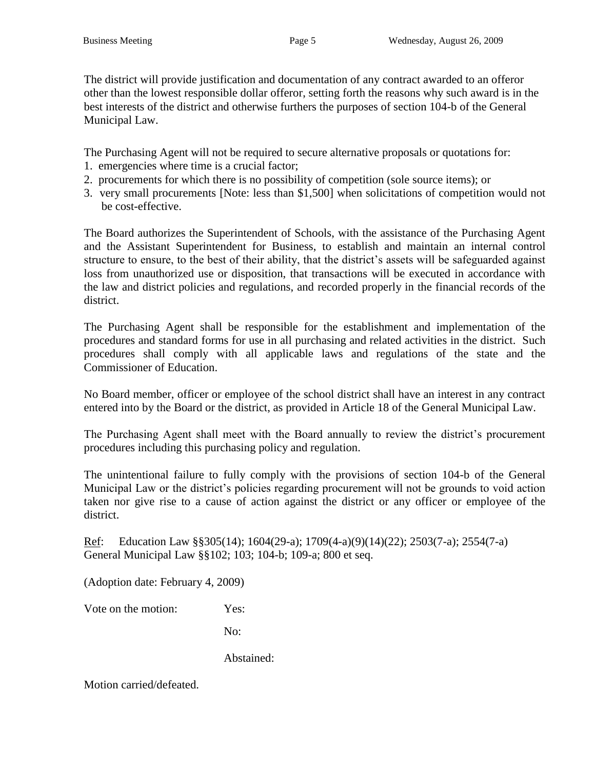The district will provide justification and documentation of any contract awarded to an offeror other than the lowest responsible dollar offeror, setting forth the reasons why such award is in the best interests of the district and otherwise furthers the purposes of section 104-b of the General Municipal Law.

The Purchasing Agent will not be required to secure alternative proposals or quotations for:

- 1. emergencies where time is a crucial factor;
- 2. procurements for which there is no possibility of competition (sole source items); or
- 3. very small procurements [Note: less than \$1,500] when solicitations of competition would not be cost-effective.

The Board authorizes the Superintendent of Schools, with the assistance of the Purchasing Agent and the Assistant Superintendent for Business, to establish and maintain an internal control structure to ensure, to the best of their ability, that the district's assets will be safeguarded against loss from unauthorized use or disposition, that transactions will be executed in accordance with the law and district policies and regulations, and recorded properly in the financial records of the district.

The Purchasing Agent shall be responsible for the establishment and implementation of the procedures and standard forms for use in all purchasing and related activities in the district. Such procedures shall comply with all applicable laws and regulations of the state and the Commissioner of Education.

No Board member, officer or employee of the school district shall have an interest in any contract entered into by the Board or the district, as provided in Article 18 of the General Municipal Law.

The Purchasing Agent shall meet with the Board annually to review the district's procurement procedures including this purchasing policy and regulation.

The unintentional failure to fully comply with the provisions of section 104-b of the General Municipal Law or the district's policies regarding procurement will not be grounds to void action taken nor give rise to a cause of action against the district or any officer or employee of the district.

Ref: Education Law §§305(14); 1604(29-a); 1709(4-a)(9)(14)(22); 2503(7-a); 2554(7-a) General Municipal Law §§102; 103; 104-b; 109-a; 800 et seq.

(Adoption date: February 4, 2009)

Vote on the motion: Yes:

No:

Abstained: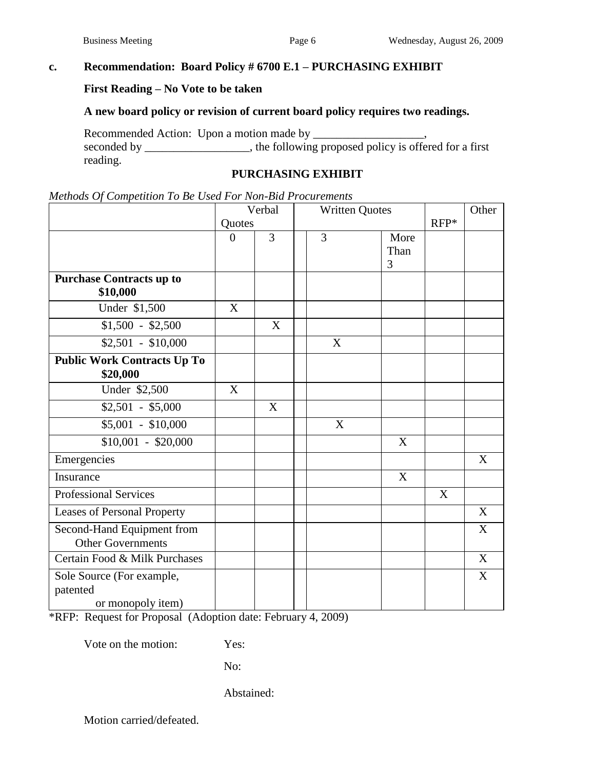### **c. Recommendation: Board Policy # 6700 E.1 – PURCHASING EXHIBIT**

#### **First Reading – No Vote to be taken**

## **A new board policy or revision of current board policy requires two readings.**

Recommended Action: Upon a motion made by \_\_\_\_\_\_\_\_\_\_\_\_ seconded by \_\_\_\_\_\_\_\_\_\_\_\_, the following proposed policy is offered for a first reading.

#### **PURCHASING EXHIBIT**

|  |  |  |  |  | Methods Of Competition To Be Used For Non-Bid Procurements |
|--|--|--|--|--|------------------------------------------------------------|
|--|--|--|--|--|------------------------------------------------------------|

|                                                            | Verbal         |                | <b>Written Quotes</b> |              |        | Other |
|------------------------------------------------------------|----------------|----------------|-----------------------|--------------|--------|-------|
|                                                            | Quotes         |                |                       |              | $RFP*$ |       |
|                                                            | $\overline{0}$ | $\overline{3}$ | $\overline{3}$        | More<br>Than |        |       |
|                                                            |                |                |                       | 3            |        |       |
| <b>Purchase Contracts up to</b><br>\$10,000                |                |                |                       |              |        |       |
| Under \$1,500                                              | X              |                |                       |              |        |       |
| $$1,500 - $2,500$                                          |                | X              |                       |              |        |       |
| $$2,501 - $10,000$                                         |                |                | X                     |              |        |       |
| <b>Public Work Contracts Up To</b><br>\$20,000             |                |                |                       |              |        |       |
| Under \$2,500                                              | X              |                |                       |              |        |       |
| $$2,501 - $5,000$                                          |                | X              |                       |              |        |       |
| $$5,001 - $10,000$                                         |                |                | X                     |              |        |       |
| $$10,001 - $20,000$                                        |                |                |                       | X            |        |       |
| Emergencies                                                |                |                |                       |              |        | X     |
| Insurance                                                  |                |                |                       | X            |        |       |
| <b>Professional Services</b>                               |                |                |                       |              | X      |       |
| <b>Leases of Personal Property</b>                         |                |                |                       |              |        | X     |
| Second-Hand Equipment from<br><b>Other Governments</b>     |                |                |                       |              |        | X     |
| Certain Food & Milk Purchases                              |                |                |                       |              |        | X     |
| Sole Source (For example,<br>patented<br>or monopoly item) |                |                |                       |              |        | X     |

\*RFP: Request for Proposal (Adoption date: February 4, 2009)

Vote on the motion: Yes:

No:

Abstained: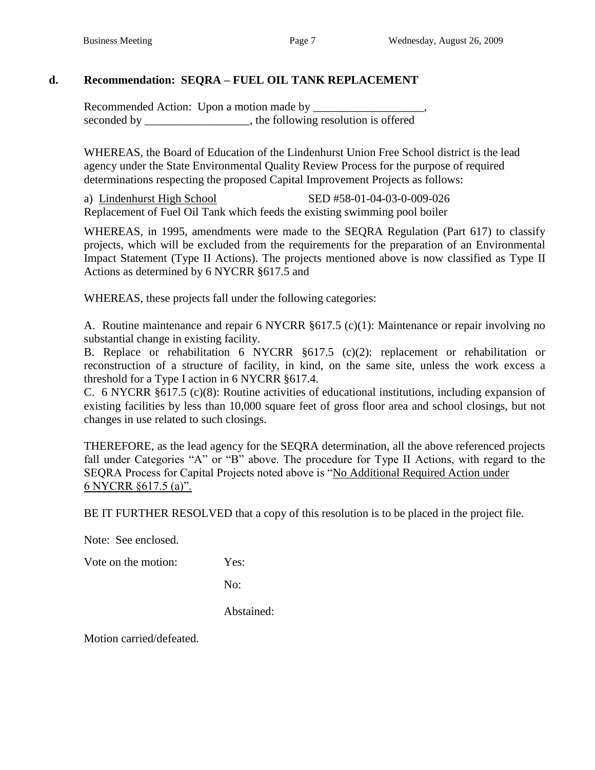## **d. Recommendation: SEQRA – FUEL OIL TANK REPLACEMENT**

Recommended Action: Upon a motion made by \_\_\_\_\_\_\_\_\_\_\_\_\_\_\_\_\_\_\_, seconded by \_\_\_\_\_\_\_\_\_\_\_\_\_\_\_, the following resolution is offered

WHEREAS, the Board of Education of the Lindenhurst Union Free School district is the lead agency under the State Environmental Quality Review Process for the purpose of required determinations respecting the proposed Capital Improvement Projects as follows:

a) Lindenhurst High School SED #58-01-04-03-0-009-026 Replacement of Fuel Oil Tank which feeds the existing swimming pool boiler

WHEREAS, in 1995, amendments were made to the SEQRA Regulation (Part 617) to classify projects, which will be excluded from the requirements for the preparation of an Environmental Impact Statement (Type II Actions). The projects mentioned above is now classified as Type II Actions as determined by 6 NYCRR §617.5 and

WHEREAS, these projects fall under the following categories:

A. Routine maintenance and repair 6 NYCRR §617.5 (c)(1): Maintenance or repair involving no substantial change in existing facility.

B. Replace or rehabilitation 6 NYCRR §617.5 (c)(2): replacement or rehabilitation or reconstruction of a structure of facility, in kind, on the same site, unless the work excess a threshold for a Type I action in 6 NYCRR §617.4.

C. 6 NYCRR §617.5 (c)(8): Routine activities of educational institutions, including expansion of existing facilities by less than 10,000 square feet of gross floor area and school closings, but not changes in use related to such closings.

THEREFORE, as the lead agency for the SEQRA determination, all the above referenced projects fall under Categories "A" or "B" above. The procedure for Type II Actions, with regard to the SEQRA Process for Capital Projects noted above is "No Additional Required Action under 6 NYCRR §617.5 (a)".

BE IT FURTHER RESOLVED that a copy of this resolution is to be placed in the project file.

Note: See enclosed.

Vote on the motion: Yes:

No:

Abstained: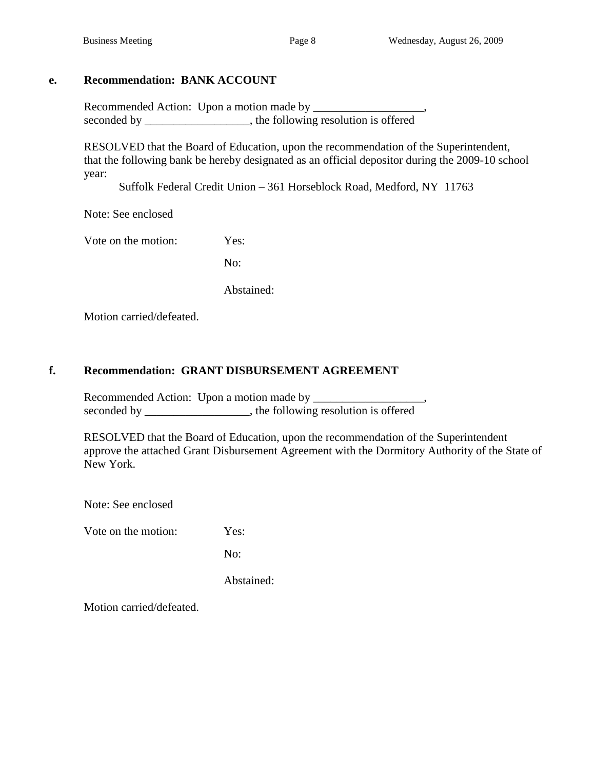## **e. Recommendation: BANK ACCOUNT**

Recommended Action: Upon a motion made by \_\_\_\_\_\_\_\_\_\_\_\_\_\_\_\_\_\_\_, seconded by \_\_\_\_\_\_\_\_\_\_\_\_\_\_\_\_, the following resolution is offered

RESOLVED that the Board of Education, upon the recommendation of the Superintendent, that the following bank be hereby designated as an official depositor during the 2009-10 school year:

Suffolk Federal Credit Union – 361 Horseblock Road, Medford, NY 11763

Note: See enclosed

Vote on the motion: Yes:

No:

Abstained:

Motion carried/defeated.

## **f. Recommendation: GRANT DISBURSEMENT AGREEMENT**

Recommended Action: Upon a motion made by \_\_\_\_\_\_\_\_\_\_\_\_\_\_\_\_\_\_\_, seconded by \_\_\_\_\_\_\_\_\_\_\_\_\_\_\_\_, the following resolution is offered

RESOLVED that the Board of Education, upon the recommendation of the Superintendent approve the attached Grant Disbursement Agreement with the Dormitory Authority of the State of New York.

Note: See enclosed

Vote on the motion: Yes:

No:

Abstained: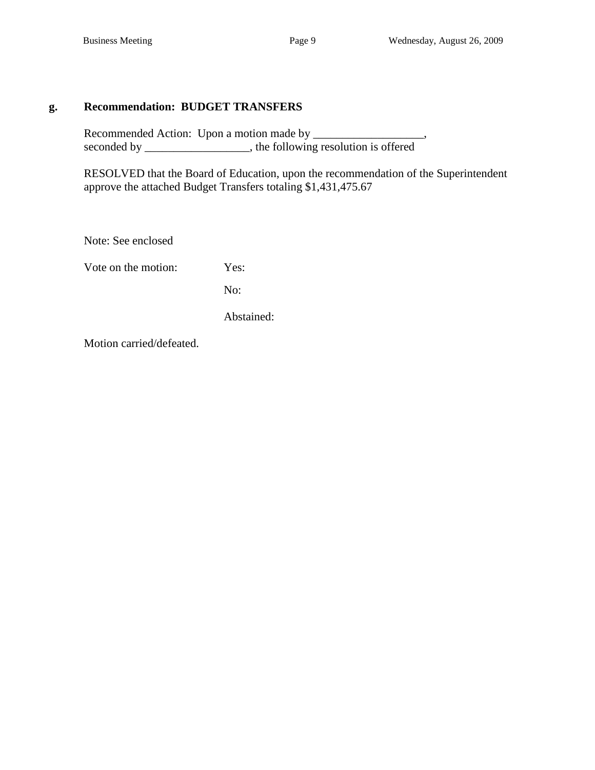#### **g. Recommendation: BUDGET TRANSFERS**

Recommended Action: Upon a motion made by \_\_\_\_\_\_\_\_\_\_\_\_\_\_\_\_\_\_\_, seconded by \_\_\_\_\_\_\_\_\_\_\_\_\_, the following resolution is offered

RESOLVED that the Board of Education, upon the recommendation of the Superintendent approve the attached Budget Transfers totaling \$1,431,475.67

Note: See enclosed

Vote on the motion: Yes:

No:

Abstained: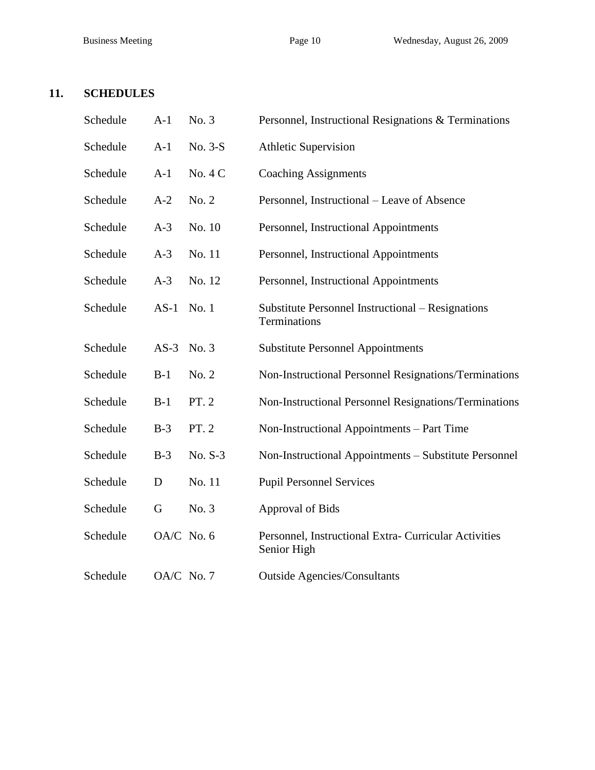# **11. SCHEDULES**

| Schedule | $A-1$      | No. 3   | Personnel, Instructional Resignations & Terminations                 |
|----------|------------|---------|----------------------------------------------------------------------|
| Schedule | $A-1$      | No. 3-S | <b>Athletic Supervision</b>                                          |
| Schedule | $A-1$      | No. 4 C | <b>Coaching Assignments</b>                                          |
| Schedule | $A-2$      | No. 2   | Personnel, Instructional – Leave of Absence                          |
| Schedule | $A-3$      | No. 10  | Personnel, Instructional Appointments                                |
| Schedule | $A-3$      | No. 11  | Personnel, Instructional Appointments                                |
| Schedule | $A-3$      | No. 12  | Personnel, Instructional Appointments                                |
| Schedule | $AS-1$     | No. 1   | Substitute Personnel Instructional – Resignations<br>Terminations    |
| Schedule | $AS-3$     | No. 3   | <b>Substitute Personnel Appointments</b>                             |
| Schedule | $B-1$      | No. 2   | Non-Instructional Personnel Resignations/Terminations                |
| Schedule | $B-1$      | PT. 2   | Non-Instructional Personnel Resignations/Terminations                |
| Schedule | $B-3$      | PT. 2   | Non-Instructional Appointments – Part Time                           |
| Schedule | $B-3$      | No. S-3 | Non-Instructional Appointments - Substitute Personnel                |
| Schedule | D          | No. 11  | <b>Pupil Personnel Services</b>                                      |
| Schedule | G          | No. 3   | Approval of Bids                                                     |
| Schedule | OA/C No. 6 |         | Personnel, Instructional Extra- Curricular Activities<br>Senior High |
| Schedule | OA/C No. 7 |         | <b>Outside Agencies/Consultants</b>                                  |